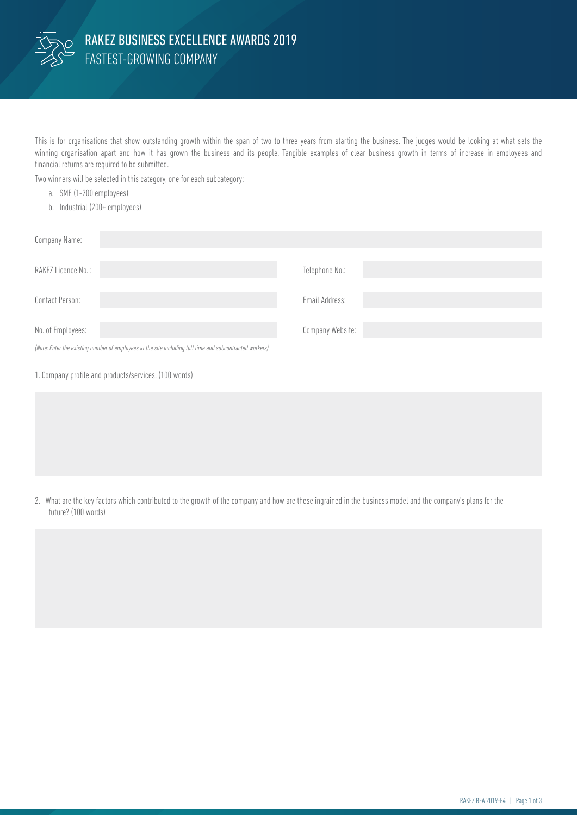

This is for organisations that show outstanding growth within the span of two to three years from starting the business. The judges would be looking at what sets the winning organisation apart and how it has grown the business and its people. Tangible examples of clear business growth in terms of increase in employees and financial returns are required to be submitted.

Two winners will be selected in this category, one for each subcategory:

- a. SME (1-200 employees)
- b. Industrial (200+ employees)

| Company Name:                                                                                            |                  |
|----------------------------------------------------------------------------------------------------------|------------------|
| RAKEZ Licence No.:                                                                                       | Telephone No.:   |
| Contact Person:                                                                                          | Email Address:   |
| No. of Employees:                                                                                        | Company Website: |
| (Note: Enter the existing number of employees at the site including full time and subcontracted workers) |                  |
| 1. Company profile and products/services. (100 words)                                                    |                  |

2. What are the key factors which contributed to the growth of the company and how are these ingrained in the business model and the company's plans for the future? (100 words)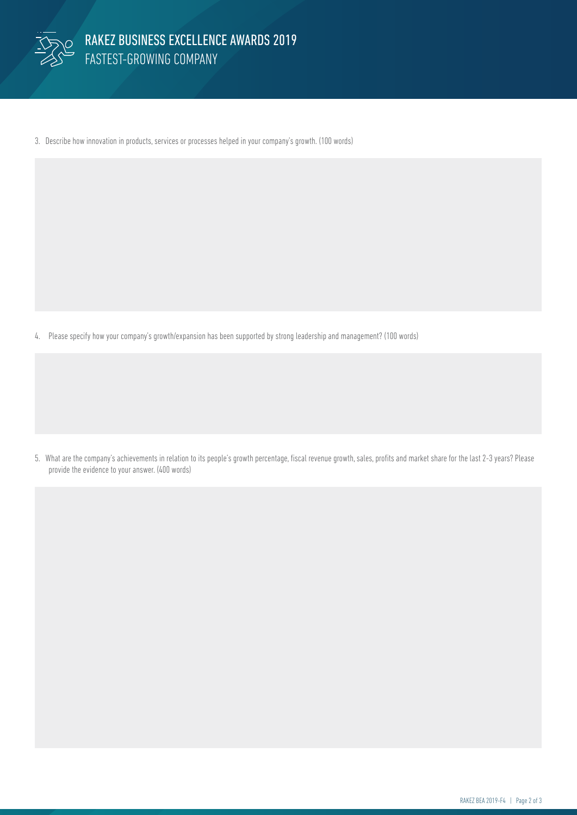

3. Describe how innovation in products, services or processes helped in your company's growth. (100 words)

4. Please specify how your company's growth/expansion has been supported by strong leadership and management? (100 words)

5. What are the company's achievements in relation to its people's growth percentage, fiscal revenue growth, sales, profits and market share for the last 2-3 years? Please provide the evidence to your answer. (400 words)